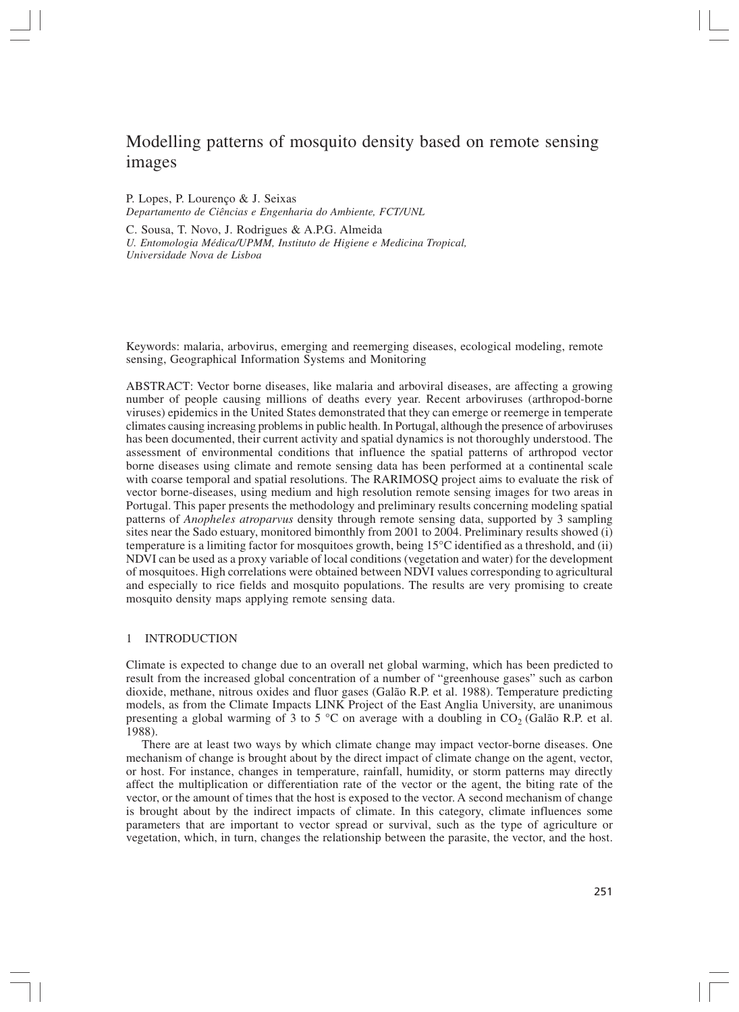# Modelling patterns of mosquito density based on remote sensing images

P. Lopes, P. Lourenço & J. Seixas *Departamento de Ciências e Engenharia do Ambiente, FCT/UNL*

C. Sousa, T. Novo, J. Rodrigues & A.P.G. Almeida *U. Entomologia Médica/UPMM, Instituto de Higiene e Medicina Tropical,*

*Universidade Nova de Lisboa*

Keywords: malaria, arbovirus, emerging and reemerging diseases, ecological modeling, remote sensing, Geographical Information Systems and Monitoring

ABSTRACT: Vector borne diseases, like malaria and arboviral diseases, are affecting a growing number of people causing millions of deaths every year. Recent arboviruses (arthropod-borne viruses) epidemics in the United States demonstrated that they can emerge or reemerge in temperate climates causing increasing problems in public health. In Portugal, although the presence of arboviruses has been documented, their current activity and spatial dynamics is not thoroughly understood. The assessment of environmental conditions that influence the spatial patterns of arthropod vector borne diseases using climate and remote sensing data has been performed at a continental scale with coarse temporal and spatial resolutions. The RARIMOSQ project aims to evaluate the risk of vector borne-diseases, using medium and high resolution remote sensing images for two areas in Portugal. This paper presents the methodology and preliminary results concerning modeling spatial patterns of *Anopheles atroparvus* density through remote sensing data, supported by 3 sampling sites near the Sado estuary, monitored bimonthly from 2001 to 2004. Preliminary results showed (i) temperature is a limiting factor for mosquitoes growth, being 15°C identified as a threshold, and (ii) NDVI can be used as a proxy variable of local conditions (vegetation and water) for the development of mosquitoes. High correlations were obtained between NDVI values corresponding to agricultural and especially to rice fields and mosquito populations. The results are very promising to create mosquito density maps applying remote sensing data.

## 1 INTRODUCTION

Climate is expected to change due to an overall net global warming, which has been predicted to result from the increased global concentration of a number of "greenhouse gases" such as carbon dioxide, methane, nitrous oxides and fluor gases (Galão R.P. et al. 1988). Temperature predicting models, as from the Climate Impacts LINK Project of the East Anglia University, are unanimous presenting a global warming of 3 to 5  $\degree$ C on average with a doubling in CO<sub>2</sub> (Galão R.P. et al. 1988).

There are at least two ways by which climate change may impact vector-borne diseases. One mechanism of change is brought about by the direct impact of climate change on the agent, vector, or host. For instance, changes in temperature, rainfall, humidity, or storm patterns may directly affect the multiplication or differentiation rate of the vector or the agent, the biting rate of the vector, or the amount of times that the host is exposed to the vector. A second mechanism of change is brought about by the indirect impacts of climate. In this category, climate influences some parameters that are important to vector spread or survival, such as the type of agriculture or vegetation, which, in turn, changes the relationship between the parasite, the vector, and the host.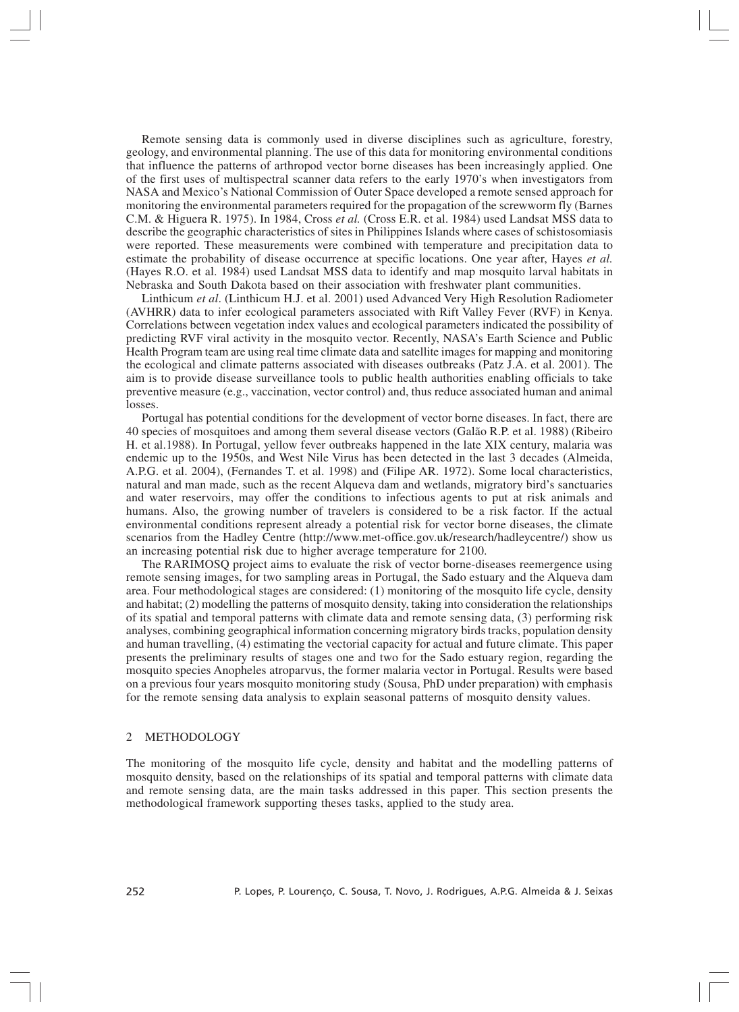Remote sensing data is commonly used in diverse disciplines such as agriculture, forestry, geology, and environmental planning. The use of this data for monitoring environmental conditions that influence the patterns of arthropod vector borne diseases has been increasingly applied. One of the first uses of multispectral scanner data refers to the early 1970's when investigators from NASA and Mexico's National Commission of Outer Space developed a remote sensed approach for monitoring the environmental parameters required for the propagation of the screwworm fly (Barnes C.M. & Higuera R. 1975). In 1984, Cross *et al.* (Cross E.R. et al. 1984) used Landsat MSS data to describe the geographic characteristics of sites in Philippines Islands where cases of schistosomiasis were reported. These measurements were combined with temperature and precipitation data to estimate the probability of disease occurrence at specific locations. One year after, Hayes *et al.* (Hayes R.O. et al. 1984) used Landsat MSS data to identify and map mosquito larval habitats in Nebraska and South Dakota based on their association with freshwater plant communities.

Linthicum *et al*. (Linthicum H.J. et al. 2001) used Advanced Very High Resolution Radiometer (AVHRR) data to infer ecological parameters associated with Rift Valley Fever (RVF) in Kenya. Correlations between vegetation index values and ecological parameters indicated the possibility of predicting RVF viral activity in the mosquito vector. Recently, NASA's Earth Science and Public Health Program team are using real time climate data and satellite images for mapping and monitoring the ecological and climate patterns associated with diseases outbreaks (Patz J.A. et al. 2001). The aim is to provide disease surveillance tools to public health authorities enabling officials to take preventive measure (e.g., vaccination, vector control) and, thus reduce associated human and animal losses.

Portugal has potential conditions for the development of vector borne diseases. In fact, there are 40 species of mosquitoes and among them several disease vectors (Galão R.P. et al. 1988) (Ribeiro H. et al.1988). In Portugal, yellow fever outbreaks happened in the late XIX century, malaria was endemic up to the 1950s, and West Nile Virus has been detected in the last 3 decades (Almeida, A.P.G. et al. 2004), (Fernandes T. et al. 1998) and (Filipe AR. 1972). Some local characteristics, natural and man made, such as the recent Alqueva dam and wetlands, migratory bird's sanctuaries and water reservoirs, may offer the conditions to infectious agents to put at risk animals and humans. Also, the growing number of travelers is considered to be a risk factor. If the actual environmental conditions represent already a potential risk for vector borne diseases, the climate scenarios from the Hadley Centre (http://www.met-office.gov.uk/research/hadleycentre/) show us an increasing potential risk due to higher average temperature for 2100.

The RARIMOSQ project aims to evaluate the risk of vector borne-diseases reemergence using remote sensing images, for two sampling areas in Portugal, the Sado estuary and the Alqueva dam area. Four methodological stages are considered: (1) monitoring of the mosquito life cycle, density and habitat; (2) modelling the patterns of mosquito density, taking into consideration the relationships of its spatial and temporal patterns with climate data and remote sensing data, (3) performing risk analyses, combining geographical information concerning migratory birds tracks, population density and human travelling, (4) estimating the vectorial capacity for actual and future climate. This paper presents the preliminary results of stages one and two for the Sado estuary region, regarding the mosquito species Anopheles atroparvus, the former malaria vector in Portugal. Results were based on a previous four years mosquito monitoring study (Sousa, PhD under preparation) with emphasis for the remote sensing data analysis to explain seasonal patterns of mosquito density values.

### 2 METHODOLOGY

The monitoring of the mosquito life cycle, density and habitat and the modelling patterns of mosquito density, based on the relationships of its spatial and temporal patterns with climate data and remote sensing data, are the main tasks addressed in this paper. This section presents the methodological framework supporting theses tasks, applied to the study area.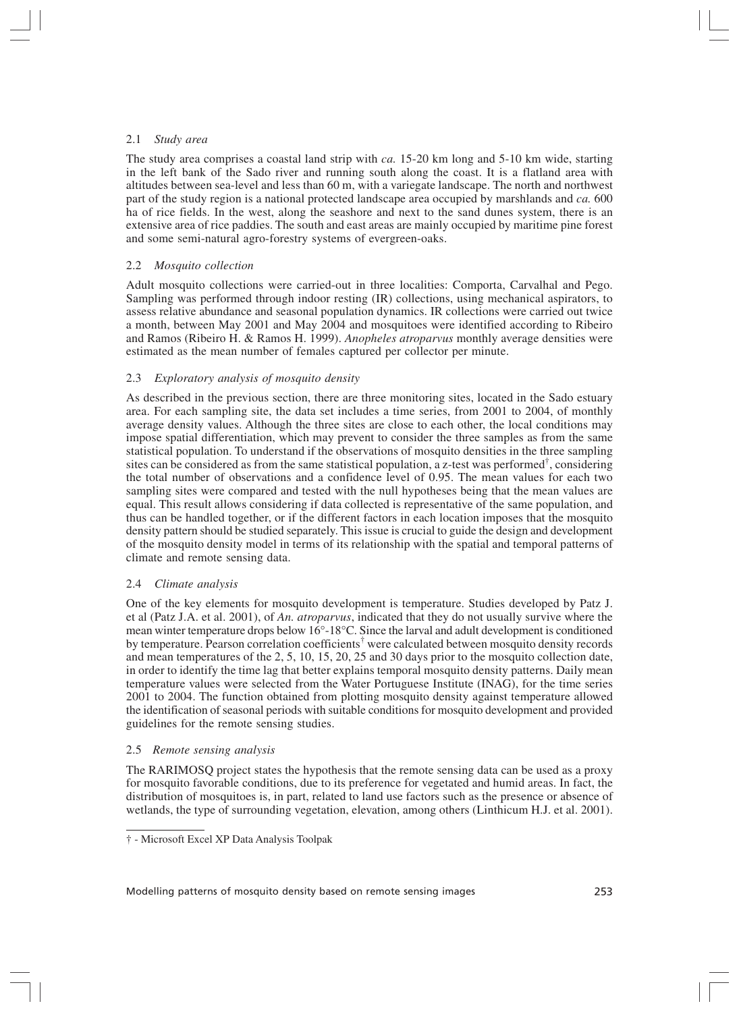## 2.1 *Study area*

The study area comprises a coastal land strip with *ca.* 15-20 km long and 5-10 km wide, starting in the left bank of the Sado river and running south along the coast. It is a flatland area with altitudes between sea-level and less than 60 m, with a variegate landscape. The north and northwest part of the study region is a national protected landscape area occupied by marshlands and *ca.* 600 ha of rice fields. In the west, along the seashore and next to the sand dunes system, there is an extensive area of rice paddies. The south and east areas are mainly occupied by maritime pine forest and some semi-natural agro-forestry systems of evergreen-oaks.

# 2.2 *Mosquito collection*

Adult mosquito collections were carried-out in three localities: Comporta, Carvalhal and Pego. Sampling was performed through indoor resting (IR) collections, using mechanical aspirators, to assess relative abundance and seasonal population dynamics. IR collections were carried out twice a month, between May 2001 and May 2004 and mosquitoes were identified according to Ribeiro and Ramos (Ribeiro H. & Ramos H. 1999). *Anopheles atroparvus* monthly average densities were estimated as the mean number of females captured per collector per minute.

# 2.3 *Exploratory analysis of mosquito density*

As described in the previous section, there are three monitoring sites, located in the Sado estuary area. For each sampling site, the data set includes a time series, from 2001 to 2004, of monthly average density values. Although the three sites are close to each other, the local conditions may impose spatial differentiation, which may prevent to consider the three samples as from the same statistical population. To understand if the observations of mosquito densities in the three sampling sites can be considered as from the same statistical population, a z-test was performed† , considering the total number of observations and a confidence level of 0.95. The mean values for each two sampling sites were compared and tested with the null hypotheses being that the mean values are equal. This result allows considering if data collected is representative of the same population, and thus can be handled together, or if the different factors in each location imposes that the mosquito density pattern should be studied separately. This issue is crucial to guide the design and development of the mosquito density model in terms of its relationship with the spatial and temporal patterns of climate and remote sensing data.

# 2.4 *Climate analysis*

One of the key elements for mosquito development is temperature. Studies developed by Patz J. et al (Patz J.A. et al. 2001), of *An. atroparvus*, indicated that they do not usually survive where the mean winter temperature drops below 16°-18°C. Since the larval and adult development is conditioned by temperature. Pearson correlation coefficients<sup>†</sup> were calculated between mosquito density records and mean temperatures of the 2, 5, 10, 15, 20, 25 and 30 days prior to the mosquito collection date, in order to identify the time lag that better explains temporal mosquito density patterns. Daily mean temperature values were selected from the Water Portuguese Institute (INAG), for the time series 2001 to 2004. The function obtained from plotting mosquito density against temperature allowed the identification of seasonal periods with suitable conditions for mosquito development and provided guidelines for the remote sensing studies.

# 2.5 *Remote sensing analysis*

The RARIMOSQ project states the hypothesis that the remote sensing data can be used as a proxy for mosquito favorable conditions, due to its preference for vegetated and humid areas. In fact, the distribution of mosquitoes is, in part, related to land use factors such as the presence or absence of wetlands, the type of surrounding vegetation, elevation, among others (Linthicum H.J. et al. 2001).

† - Microsoft Excel XP Data Analysis Toolpak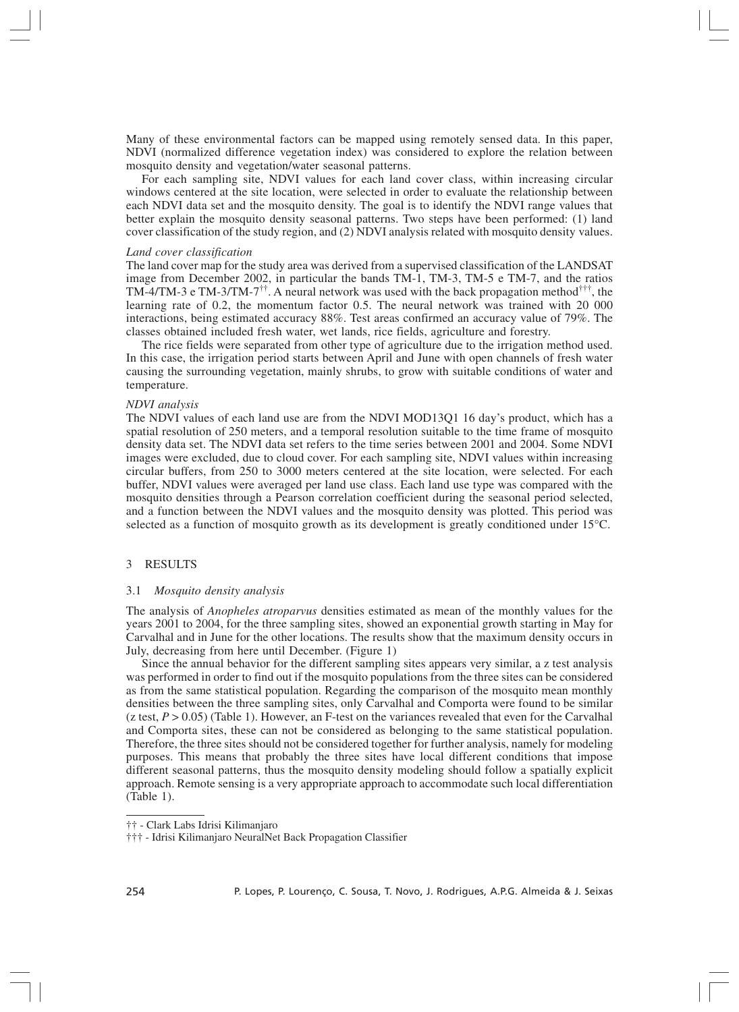Many of these environmental factors can be mapped using remotely sensed data. In this paper, NDVI (normalized difference vegetation index) was considered to explore the relation between mosquito density and vegetation/water seasonal patterns.

For each sampling site, NDVI values for each land cover class, within increasing circular windows centered at the site location, were selected in order to evaluate the relationship between each NDVI data set and the mosquito density. The goal is to identify the NDVI range values that better explain the mosquito density seasonal patterns. Two steps have been performed: (1) land cover classification of the study region, and (2) NDVI analysis related with mosquito density values.

#### *Land cover classification*

The land cover map for the study area was derived from a supervised classification of the LANDSAT image from December 2002, in particular the bands TM-1, TM-3, TM-5 e TM-7, and the ratios TM-4/TM-3 e TM-3/TM-7<sup> $\dagger\dagger$ </sup>. A neural network was used with the back propagation method $\ddagger\dagger\dagger$ , the learning rate of 0.2, the momentum factor 0.5. The neural network was trained with 20 000 interactions, being estimated accuracy 88%. Test areas confirmed an accuracy value of 79%. The classes obtained included fresh water, wet lands, rice fields, agriculture and forestry.

The rice fields were separated from other type of agriculture due to the irrigation method used. In this case, the irrigation period starts between April and June with open channels of fresh water causing the surrounding vegetation, mainly shrubs, to grow with suitable conditions of water and temperature.

#### *NDVI analysis*

The NDVI values of each land use are from the NDVI MOD13Q1 16 day's product, which has a spatial resolution of 250 meters, and a temporal resolution suitable to the time frame of mosquito density data set. The NDVI data set refers to the time series between 2001 and 2004. Some NDVI images were excluded, due to cloud cover. For each sampling site, NDVI values within increasing circular buffers, from 250 to 3000 meters centered at the site location, were selected. For each buffer, NDVI values were averaged per land use class. Each land use type was compared with the mosquito densities through a Pearson correlation coefficient during the seasonal period selected, and a function between the NDVI values and the mosquito density was plotted. This period was selected as a function of mosquito growth as its development is greatly conditioned under 15°C.

## 3 RESULTS

#### 3.1 *Mosquito density analysis*

The analysis of *Anopheles atroparvus* densities estimated as mean of the monthly values for the years 2001 to 2004, for the three sampling sites, showed an exponential growth starting in May for Carvalhal and in June for the other locations. The results show that the maximum density occurs in July, decreasing from here until December. (Figure 1)

Since the annual behavior for the different sampling sites appears very similar, a z test analysis was performed in order to find out if the mosquito populations from the three sites can be considered as from the same statistical population. Regarding the comparison of the mosquito mean monthly densities between the three sampling sites, only Carvalhal and Comporta were found to be similar (z test,  $P > 0.05$ ) (Table 1). However, an F-test on the variances revealed that even for the Carvalhal and Comporta sites, these can not be considered as belonging to the same statistical population. Therefore, the three sites should not be considered together for further analysis, namely for modeling purposes. This means that probably the three sites have local different conditions that impose different seasonal patterns, thus the mosquito density modeling should follow a spatially explicit approach. Remote sensing is a very appropriate approach to accommodate such local differentiation (Table 1).

<sup>†† -</sup> Clark Labs Idrisi Kilimanjaro

<sup>††† -</sup> Idrisi Kilimanjaro NeuralNet Back Propagation Classifier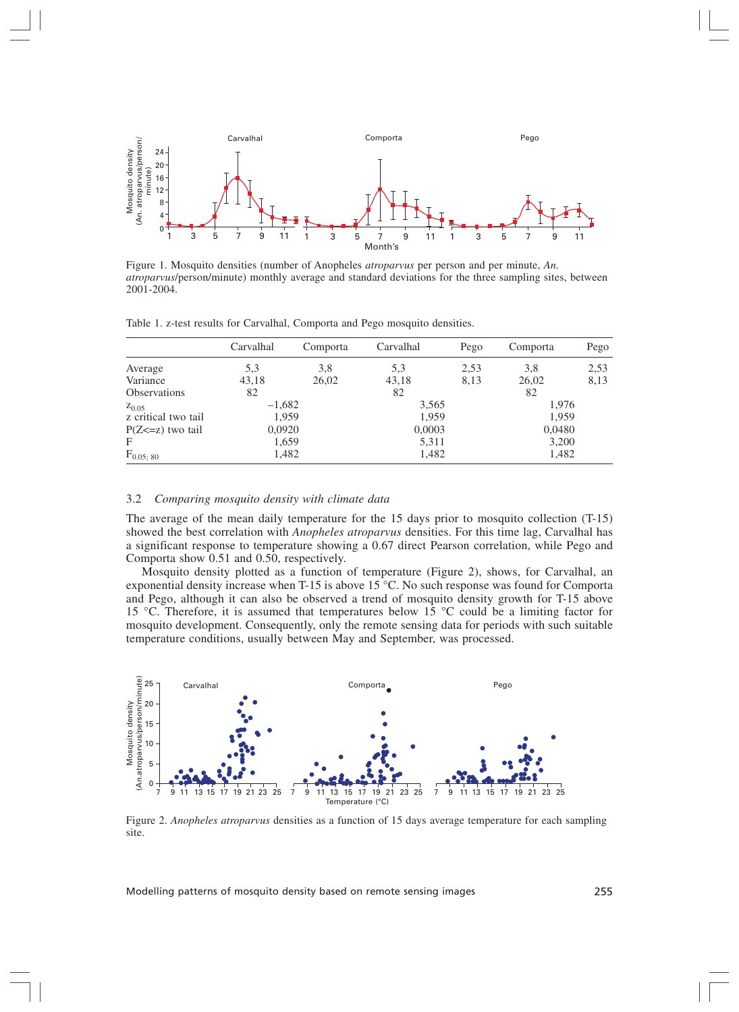

Figure 1. Mosquito densities (number of Anopheles *atroparvus* per person and per minute, *An. atroparvus*/person/minute) monthly average and standard deviations for the three sampling sites, between 2001-2004.

Table 1. z-test results for Carvalhal, Comporta and Pego mosquito densities.

|                       | Carvalhal | Comporta | Carvalhal | Pego | Comporta | Pego |
|-----------------------|-----------|----------|-----------|------|----------|------|
| Average               | 5,3       | 3,8      | 5,3       | 2,53 | 3,8      | 2,53 |
| Variance              | 43,18     | 26,02    | 43,18     | 8,13 | 26,02    | 8,13 |
| <b>Observations</b>   | 82        |          | 82        |      | 82       |      |
| $Z_{0.05}$            | $-1,682$  |          | 3,565     |      | 1,976    |      |
| z critical two tail   | 1,959     |          | 1,959     |      | 1,959    |      |
| $P(Z \le z)$ two tail | 0,0920    |          | 0,0003    |      | 0,0480   |      |
| $\mathbf{F}$          | 1,659     |          | 5,311     |      | 3,200    |      |
| $F_{0.05; 80}$        | 1,482     |          | 1,482     |      | 1,482    |      |

#### 3.2 *Comparing mosquito density with climate data*

The average of the mean daily temperature for the 15 days prior to mosquito collection (T-15) showed the best correlation with *Anopheles atroparvus* densities. For this time lag, Carvalhal has a significant response to temperature showing a 0.67 direct Pearson correlation, while Pego and Comporta show 0.51 and 0.50, respectively.

Mosquito density plotted as a function of temperature (Figure 2), shows, for Carvalhal, an exponential density increase when T-15 is above 15 °C. No such response was found for Comporta and Pego, although it can also be observed a trend of mosquito density growth for T-15 above 15 °C. Therefore, it is assumed that temperatures below 15 °C could be a limiting factor for mosquito development. Consequently, only the remote sensing data for periods with such suitable temperature conditions, usually between May and September, was processed.



Figure 2. *Anopheles atroparvus* densities as a function of 15 days average temperature for each sampling site.

Modelling patterns of mosquito density based on remote sensing images 255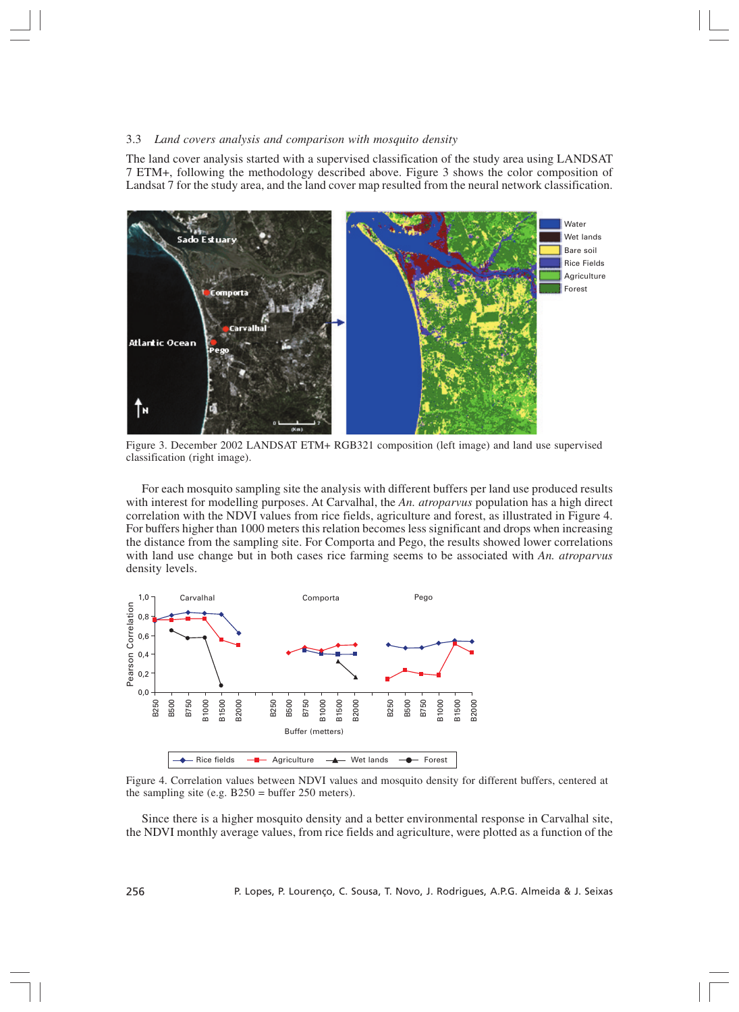#### 3.3 *Land covers analysis and comparison with mosquito density*

The land cover analysis started with a supervised classification of the study area using LANDSAT 7 ETM+, following the methodology described above. Figure 3 shows the color composition of Landsat 7 for the study area, and the land cover map resulted from the neural network classification.



Figure 3. December 2002 LANDSAT ETM+ RGB321 composition (left image) and land use supervised classification (right image).

For each mosquito sampling site the analysis with different buffers per land use produced results with interest for modelling purposes. At Carvalhal, the *An. atroparvus* population has a high direct correlation with the NDVI values from rice fields, agriculture and forest, as illustrated in Figure 4. For buffers higher than 1000 meters this relation becomes less significant and drops when increasing the distance from the sampling site. For Comporta and Pego, the results showed lower correlations with land use change but in both cases rice farming seems to be associated with *An. atroparvus* density levels.



Figure 4. Correlation values between NDVI values and mosquito density for different buffers, centered at the sampling site (e.g.  $B250 = \text{buffer } 250 \text{ meters}$ ).

Since there is a higher mosquito density and a better environmental response in Carvalhal site, the NDVI monthly average values, from rice fields and agriculture, were plotted as a function of the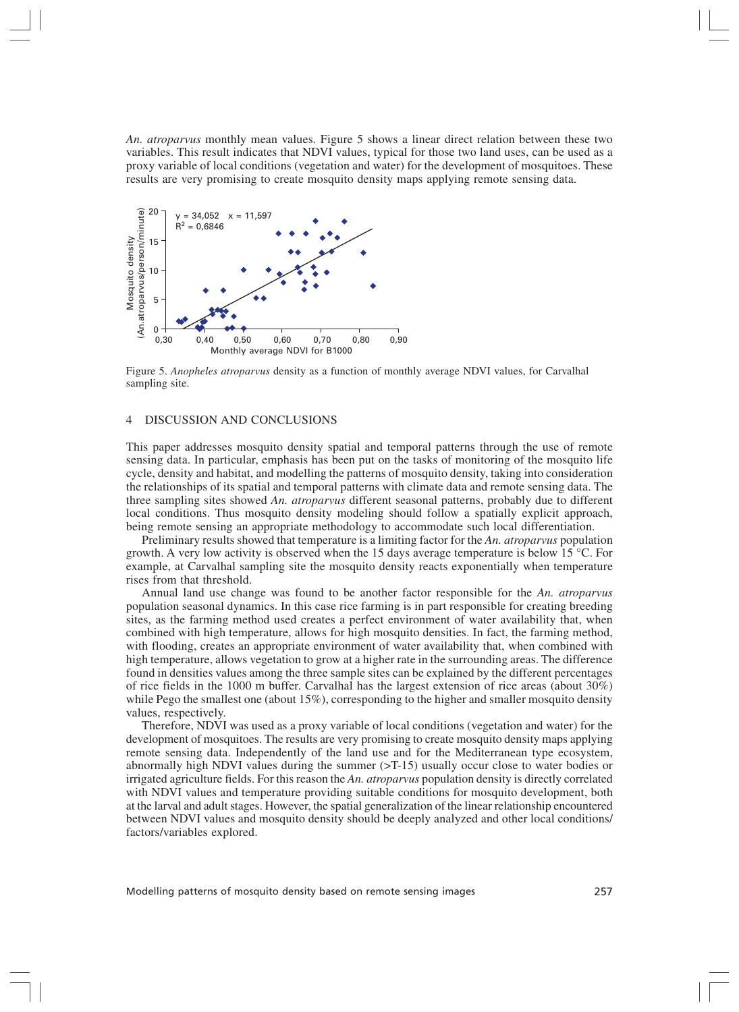*An. atroparvus* monthly mean values. Figure 5 shows a linear direct relation between these two variables. This result indicates that NDVI values, typical for those two land uses, can be used as a proxy variable of local conditions (vegetation and water) for the development of mosquitoes. These results are very promising to create mosquito density maps applying remote sensing data.



Figure 5. *Anopheles atroparvus* density as a function of monthly average NDVI values, for Carvalhal sampling site.

## 4 DISCUSSION AND CONCLUSIONS

This paper addresses mosquito density spatial and temporal patterns through the use of remote sensing data. In particular, emphasis has been put on the tasks of monitoring of the mosquito life cycle, density and habitat, and modelling the patterns of mosquito density, taking into consideration the relationships of its spatial and temporal patterns with climate data and remote sensing data. The three sampling sites showed *An. atroparvus* different seasonal patterns, probably due to different local conditions. Thus mosquito density modeling should follow a spatially explicit approach, being remote sensing an appropriate methodology to accommodate such local differentiation.

Preliminary results showed that temperature is a limiting factor for the *An. atroparvus* population growth. A very low activity is observed when the 15 days average temperature is below 15 °C. For example, at Carvalhal sampling site the mosquito density reacts exponentially when temperature rises from that threshold.

Annual land use change was found to be another factor responsible for the *An. atroparvus* population seasonal dynamics. In this case rice farming is in part responsible for creating breeding sites, as the farming method used creates a perfect environment of water availability that, when combined with high temperature, allows for high mosquito densities. In fact, the farming method, with flooding, creates an appropriate environment of water availability that, when combined with high temperature, allows vegetation to grow at a higher rate in the surrounding areas. The difference found in densities values among the three sample sites can be explained by the different percentages of rice fields in the 1000 m buffer. Carvalhal has the largest extension of rice areas (about 30%) while Pego the smallest one (about 15%), corresponding to the higher and smaller mosquito density values, respectively.

Therefore, NDVI was used as a proxy variable of local conditions (vegetation and water) for the development of mosquitoes. The results are very promising to create mosquito density maps applying remote sensing data. Independently of the land use and for the Mediterranean type ecosystem, abnormally high NDVI values during the summer  $(5T-15)$  usually occur close to water bodies or irrigated agriculture fields. For this reason the *An. atroparvus* population density is directly correlated with NDVI values and temperature providing suitable conditions for mosquito development, both at the larval and adult stages. However, the spatial generalization of the linear relationship encountered between NDVI values and mosquito density should be deeply analyzed and other local conditions/ factors/variables explored.